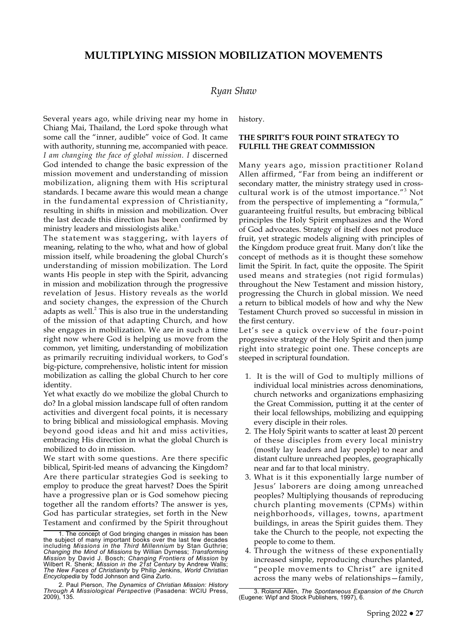# **MULTIPLYING MISSION MOBILIZATION MOVEMENTS**

# *Ryan Shaw*

Several years ago, while driving near my home in Chiang Mai, Thailand, the Lord spoke through what some call the "inner, audible" voice of God. It came with authority, stunning me, accompanied with peace. *I am changing the face of global mission. I* discerned God intended to change the basic expression of the mission movement and understanding of mission mobilization, aligning them with His scriptural standards. I became aware this would mean a change in the fundamental expression of Christianity, resulting in shifts in mission and mobilization. Over the last decade this direction has been confirmed by ministry leaders and missiologists alike.<sup>1</sup>

The statement was staggering, with layers of meaning, relating to the who, what and how of global mission itself, while broadening the global Church's understanding of mission mobilization. The Lord wants His people in step with the Spirit, advancing in mission and mobilization through the progressive revelation of Jesus. History reveals as the world and society changes, the expression of the Church adapts as well. $^2$  This is also true in the understanding of the mission of that adapting Church, and how she engages in mobilization. We are in such a time right now where God is helping us move from the common, yet limiting, understanding of mobilization as primarily recruiting individual workers, to God's big-picture, comprehensive, holistic intent for mission mobilization as calling the global Church to her core identity.

Yet what exactly do we mobilize the global Church to do? In a global mission landscape full of often random activities and divergent focal points, it is necessary to bring biblical and missiological emphasis. Moving beyond good ideas and hit and miss activities, embracing His direction in what the global Church is mobilized to do in mission.

We start with some questions. Are there specific biblical, Spirit-led means of advancing the Kingdom? Are there particular strategies God is seeking to employ to produce the great harvest? Does the Spirit have a progressive plan or is God somehow piecing together all the random efforts? The answer is yes, God has particular strategies, set forth in the New Testament and confirmed by the Spirit throughout history.

## **THE SPIRIT'S FOUR POINT STRATEGY TO FULFILL THE GREAT COMMISSION**

Many years ago, mission practitioner Roland Allen affirmed, "Far from being an indifferent or secondary matter, the ministry strategy used in crosscultural work is of the utmost importance."<sup>3</sup> Not from the perspective of implementing a "formula," guaranteeing fruitful results, but embracing biblical principles the Holy Spirit emphasizes and the Word of God advocates. Strategy of itself does not produce fruit, yet strategic models aligning with principles of the Kingdom produce great fruit. Many don't like the concept of methods as it is thought these somehow limit the Spirit. In fact, quite the opposite. The Spirit used means and strategies (not rigid formulas) throughout the New Testament and mission history, progressing the Church in global mission. We need a return to biblical models of how and why the New Testament Church proved so successful in mission in the first century.

Let's see a quick overview of the four-point progressive strategy of the Holy Spirit and then jump right into strategic point one. These concepts are steeped in scriptural foundation.

- 1. It is the will of God to multiply millions of individual local ministries across denominations, church networks and organizations emphasizing the Great Commission, putting it at the center of their local fellowships, mobilizing and equipping every disciple in their roles.
- 2. The Holy Spirit wants to scatter at least 20 percent of these disciples from every local ministry (mostly lay leaders and lay people) to near and distant culture unreached peoples, geographically near and far to that local ministry.
- 3. What is it this exponentially large number of Jesus' laborers are doing among unreached peoples? Multiplying thousands of reproducing church planting movements (CPMs) within neighborhoods, villages, towns, apartment buildings, in areas the Spirit guides them. They take the Church to the people, not expecting the people to come to them.
- 4. Through the witness of these exponentially increased simple, reproducing churches planted, "people movements to Christ" are ignited across the many webs of relationships—family,

<sup>1.</sup> The concept of God bringing changes in mission has been the subject of many important books over the last few decades including *Missions in the Third Millennium* by Stan Guthrie; *Changing the Mind of Missions* by Willian Dyrness; *Transforming Mission* by David J. Bosch; *Changing Frontiers of Mission* by Wilbert R. Shenk; *Mission in the 21st Century* by Andrew Walls; *The New Faces of Christianity* by Philip Jenkins, *World Christian Encyclopedia* by Todd Johnson and Gina Zurlo.

<sup>2.</sup> Paul Pierson, *The Dynamics of Christian Mission: History Through A Missiological Perspective* (Pasadena: WCIU Press, 2009), 135.

<sup>3.</sup> Roland Allen, *The Spontaneous Expansion of the Church*  (Eugene: Wipf and Stock Publishers, 1997), 6.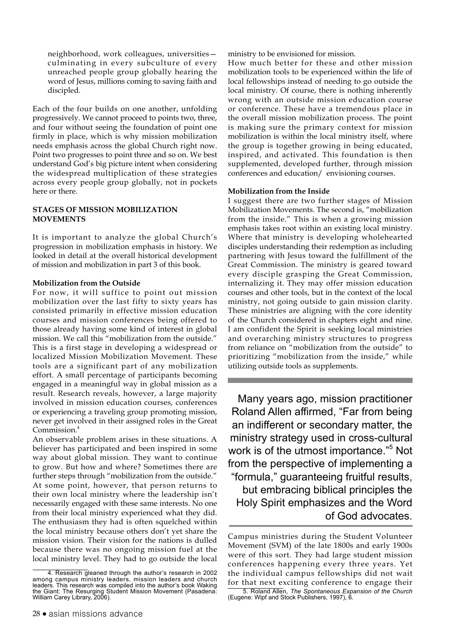neighborhood, work colleagues, universities culminating in every subculture of every unreached people group globally hearing the word of Jesus, millions coming to saving faith and discipled.

Each of the four builds on one another, unfolding progressively. We cannot proceed to points two, three, and four without seeing the foundation of point one firmly in place, which is why mission mobilization needs emphasis across the global Church right now. Point two progresses to point three and so on. We best understand God's big picture intent when considering the widespread multiplication of these strategies across every people group globally, not in pockets here or there.

# **STAGES OF MISSION MOBILIZATION MOVEMENTS**

It is important to analyze the global Church's progression in mobilization emphasis in history. We looked in detail at the overall historical development of mission and mobilization in part 3 of this book.

## **Mobilization from the Outside**

For now, it will suffice to point out mission mobilization over the last fifty to sixty years has consisted primarily in effective mission education courses and mission conferences being offered to those already having some kind of interest in global mission. We call this "mobilization from the outside." This is a first stage in developing a widespread or localized Mission Mobilization Movement. These tools are a significant part of any mobilization effort. A small percentage of participants becoming engaged in a meaningful way in global mission as a result. Research reveals, however, a large majority involved in mission education courses, conferences or experiencing a traveling group promoting mission, never get involved in their assigned roles in the Great Commission.<sup>4</sup>

An observable problem arises in these situations. A believer has participated and been inspired in some way about global mission. They want to continue to grow. But how and where? Sometimes there are further steps through "mobilization from the outside." At some point, however, that person returns to their own local ministry where the leadership isn't necessarily engaged with these same interests. No one from their local ministry experienced what they did. The enthusiasm they had is often squelched within the local ministry because others don't yet share the mission vision. Their vision for the nations is dulled because there was no ongoing mission fuel at the local ministry level. They had to go outside the local

ministry to be envisioned for mission.

How much better for these and other mission mobilization tools to be experienced within the life of local fellowships instead of needing to go outside the local ministry. Of course, there is nothing inherently wrong with an outside mission education course or conference. These have a tremendous place in the overall mission mobilization process. The point is making sure the primary context for mission mobilization is within the local ministry itself, where the group is together growing in being educated, inspired, and activated. This foundation is then supplemented, developed further, through mission conferences and education/ envisioning courses.

#### **Mobilization from the Inside**

I suggest there are two further stages of Mission Mobilization Movements. The second is, "mobilization from the inside." This is when a growing mission emphasis takes root within an existing local ministry. Where that ministry is developing wholehearted disciples understanding their redemption as including partnering with Jesus toward the fulfillment of the Great Commission. The ministry is geared toward every disciple grasping the Great Commission, internalizing it. They may offer mission education courses and other tools, but in the context of the local ministry, not going outside to gain mission clarity. These ministries are aligning with the core identity of the Church considered in chapters eight and nine. I am confident the Spirit is seeking local ministries and overarching ministry structures to progress from reliance on "mobilization from the outside" to prioritizing "mobilization from the inside," while utilizing outside tools as supplements.

Many years ago, mission practitioner Roland Allen affirmed, "Far from being an indifferent or secondary matter, the ministry strategy used in cross-cultural work is of the utmost importance."<sup>5</sup> Not from the perspective of implementing a "formula," guaranteeing fruitful results, but embracing biblical principles the Holy Spirit emphasizes and the Word of God advocates.

<sup>4.</sup> Research gleaned through the author's research in 2002 among campus ministry leaders, mission leaders and church leaders. This research was compiled into the author's book Waking the Giant: The Resurging Student Mission Movement (Pasadena: William Carey Library, 2006).

Campus ministries during the Student Volunteer Movement (SVM) of the late 1800s and early 1900s were of this sort. They had large student mission conferences happening every three years. Yet the individual campus fellowships did not wait for that next exciting conference to engage their

<sup>5.</sup> Roland Allen, *The Spontaneous Expansion of the Church*  (Eugene: Wipf and Stock Publishers, 1997), 6.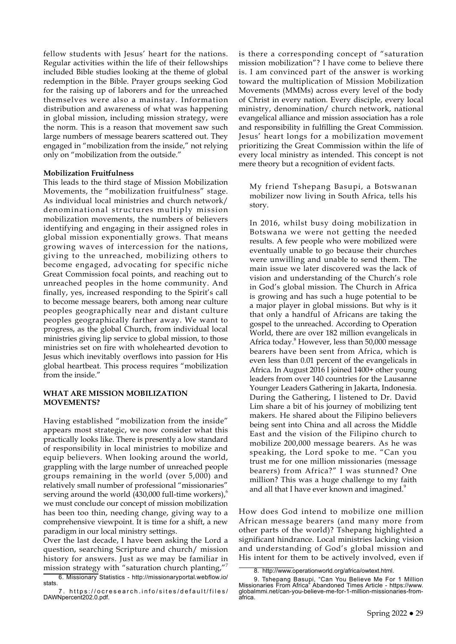fellow students with Jesus' heart for the nations. Regular activities within the life of their fellowships included Bible studies looking at the theme of global redemption in the Bible. Prayer groups seeking God for the raising up of laborers and for the unreached themselves were also a mainstay. Information distribution and awareness of what was happening in global mission, including mission strategy, were the norm. This is a reason that movement saw such large numbers of message bearers scattered out. They engaged in "mobilization from the inside," not relying only on "mobilization from the outside."

#### **Mobilization Fruitfulness**

This leads to the third stage of Mission Mobilization Movements, the "mobilization fruitfulness" stage. As individual local ministries and church network/ denominational structures multiply mission mobilization movements, the numbers of believers identifying and engaging in their assigned roles in global mission exponentially grows. That means growing waves of intercession for the nations, giving to the unreached, mobilizing others to become engaged, advocating for specific niche Great Commission focal points, and reaching out to unreached peoples in the home community. And finally, yes, increased responding to the Spirit's call to become message bearers, both among near culture peoples geographically near and distant culture peoples geographically farther away. We want to progress, as the global Church, from individual local ministries giving lip service to global mission, to those ministries set on fire with wholehearted devotion to Jesus which inevitably overflows into passion for His global heartbeat. This process requires "mobilization from the inside."

## **WHAT ARE MISSION MOBILIZATION MOVEMENTS?**

Having established "mobilization from the inside" appears most strategic, we now consider what this practically looks like. There is presently a low standard of responsibility in local ministries to mobilize and equip believers. When looking around the world, grappling with the large number of unreached people groups remaining in the world (over 5,000) and relatively small number of professional "missionaries" serving around the world  $(430,000 \text{ full-time workers})$ , we must conclude our concept of mission mobilization has been too thin, needing change, giving way to a comprehensive viewpoint. It is time for a shift, a new paradigm in our local ministry settings.

Over the last decade, I have been asking the Lord a question, searching Scripture and church/ mission history for answers. Just as we may be familiar in mission strategy with "saturation church planting,"

is there a corresponding concept of "saturation mission mobilization"? I have come to believe there is. I am convinced part of the answer is working toward the multiplication of Mission Mobilization Movements (MMMs) across every level of the body of Christ in every nation. Every disciple, every local ministry, denomination/ church network, national evangelical alliance and mission association has a role and responsibility in fulfilling the Great Commission. Jesus' heart longs for a mobilization movement prioritizing the Great Commission within the life of every local ministry as intended. This concept is not mere theory but a recognition of evident facts.

My friend Tshepang Basupi, a Botswanan mobilizer now living in South Africa, tells his story.

In 2016, whilst busy doing mobilization in Botswana we were not getting the needed results. A few people who were mobilized were eventually unable to go because their churches were unwilling and unable to send them. The main issue we later discovered was the lack of vision and understanding of the Church's role in God's global mission. The Church in Africa is growing and has such a huge potential to be a major player in global missions. But why is it that only a handful of Africans are taking the gospel to the unreached. According to Operation World, there are over 182 million evangelicals in Africa today.<sup>8</sup> However, less than 50,000 message bearers have been sent from Africa, which is even less than 0.01 percent of the evangelicals in Africa. In August 2016 I joined 1400+ other young leaders from over 140 countries for the Lausanne Younger Leaders Gathering in Jakarta, Indonesia. During the Gathering, I listened to Dr. David Lim share a bit of his journey of mobilizing tent makers. He shared about the Filipino believers being sent into China and all across the Middle East and the vision of the Filipino church to mobilize 200,000 message bearers. As he was speaking, the Lord spoke to me. "Can you trust me for one million missionaries (message bearers) from Africa?" I was stunned? One million? This was a huge challenge to my faith and all that I have ever known and imagined.<sup>9</sup>

How does God intend to mobilize one million African message bearers (and many more from other parts of the world)? Tshepang highlighted a significant hindrance. Local ministries lacking vision and understanding of God's global mission and His intent for them to be actively involved, even if

<sup>6.</sup> Missionary Statistics - http://missionaryportal.webflow.io/ stats.

<sup>7.</sup> https://ocresearch.info/sites/default/files/ DAWNpercent202.0.pdf.

<sup>8.</sup> [http://www.operationworld.org/africa/owtext.html.](http://www.operationworld.org/africa/owtext.html)

<sup>9.</sup> Tshepang Basupi, "Can You Believe Me For 1 Million Missionaries From Africa" Abandoned Times Article - https://www. globalmmi.net/can-you-believe-me-for-1-million-missionaries-fromafrica.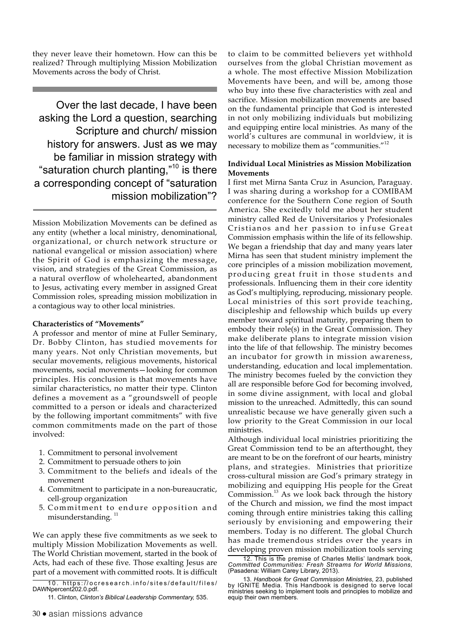they never leave their hometown. How can this be realized? Through multiplying Mission Mobilization Movements across the body of Christ.

Over the last decade, I have been asking the Lord a question, searching Scripture and church/ mission history for answers. Just as we may be familiar in mission strategy with "saturation church planting," $10$  is there a corresponding concept of "saturation mission mobilization"?

Mission Mobilization Movements can be defined as any entity (whether a local ministry, denominational, organizational, or church network structure or national evangelical or mission association) where the Spirit of God is emphasizing the message, vision, and strategies of the Great Commission, as a natural overflow of wholehearted, abandonment to Jesus, activating every member in assigned Great Commission roles, spreading mission mobilization in a contagious way to other local ministries.

#### **Characteristics of "Movements"**

A professor and mentor of mine at Fuller Seminary, Dr. Bobby Clinton, has studied movements for many years. Not only Christian movements, but secular movements, religious movements, historical movements, social movements—looking for common principles. His conclusion is that movements have similar characteristics, no matter their type. Clinton defines a movement as a "groundswell of people committed to a person or ideals and characterized by the following important commitments" with five common commitments made on the part of those involved:

- 1. Commitment to personal involvement
- 2. Commitment to persuade others to join
- 3. Commitment to the beliefs and ideals of the movement
- 4. Commitment to participate in a non-bureaucratic, cell-group organization
- 5. Commitment to endure opposition and misunderstanding.<sup>11</sup>

We can apply these five commitments as we seek to multiply Mission Mobilization Movements as well. The World Christian movement, started in the book of Acts, had each of these five. Those exalting Jesus are part of a movement with committed roots. It is difficult

10. https://ocresearch.info/sites/default/files/ DAWNpercent202.0.pdf.

to claim to be committed believers yet withhold ourselves from the global Christian movement as a whole. The most effective Mission Mobilization Movements have been, and will be, among those who buy into these five characteristics with zeal and sacrifice. Mission mobilization movements are based on the fundamental principle that God is interested in not only mobilizing individuals but mobilizing and equipping entire local ministries. As many of the world's cultures are communal in worldview, it is necessary to mobilize them as "communities."12

#### **Individual Local Ministries as Mission Mobilization Movements**

I first met Mirna Santa Cruz in Asuncion, Paraguay. I was sharing during a workshop for a COMIBAM conference for the Southern Cone region of South America. She excitedly told me about her student ministry called Red de Universitarios y Profesionales Cristianos and her passion to infuse Great Commission emphasis within the life of its fellowship. We began a friendship that day and many years later Mirna has seen that student ministry implement the core principles of a mission mobilization movement, producing great fruit in those students and professionals. Influencing them in their core identity as God's multiplying, reproducing, missionary people. Local ministries of this sort provide teaching, discipleship and fellowship which builds up every member toward spiritual maturity, preparing them to embody their role(s) in the Great Commission. They make deliberate plans to integrate mission vision into the life of that fellowship. The ministry becomes an incubator for growth in mission awareness, understanding, education and local implementation. The ministry becomes fueled by the conviction they all are responsible before God for becoming involved, in some divine assignment, with local and global mission to the unreached. Admittedly, this can sound unrealistic because we have generally given such a low priority to the Great Commission in our local ministries.

Although individual local ministries prioritizing the Great Commission tend to be an afterthought, they are meant to be on the forefront of our hearts, ministry plans, and strategies. Ministries that prioritize cross-cultural mission are God's primary strategy in mobilizing and equipping His people for the Great Commission. $^{13}$  As we look back through the history of the Church and mission, we find the most impact coming through entire ministries taking this calling seriously by envisioning and empowering their members. Today is no different. The global Church has made tremendous strides over the years in developing proven mission mobilization tools serving

12. This is the premise of Charles Mellis' landmark book, *Committed Communities: Fresh Streams for World Missions,*  (Pasadena: William Carey Library, 2013).

<sup>11.</sup> Clinton, *Clinton's Biblical Leadership Commentary,* 535.

<sup>13.</sup> *Handbook for Great Commission Ministries*, 23, published by IGNITE Media. This Handbook is designed to serve local ministries seeking to implement tools and principles to mobilize and equip their own members.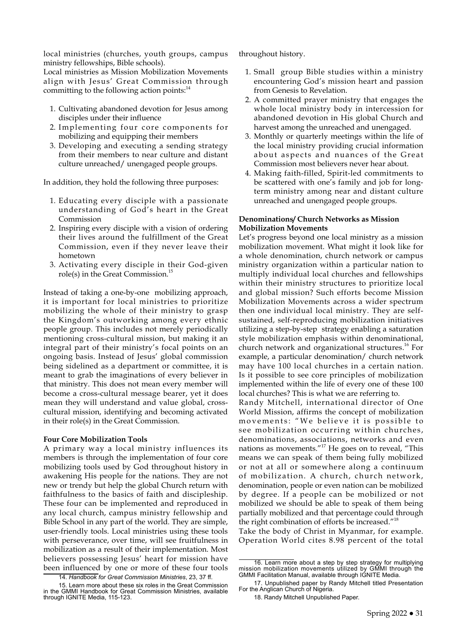local ministries (churches, youth groups, campus ministry fellowships, Bible schools).

Local ministries as Mission Mobilization Movements align with Jesus' Great Commission through committing to the following action points: $^{14}$ 

- 1. Cultivating abandoned devotion for Jesus among disciples under their influence
- 2. Implementing four core components for mobilizing and equipping their members
- 3. Developing and executing a sending strategy from their members to near culture and distant culture unreached/ unengaged people groups.

In addition, they hold the following three purposes:

- 1. Educating every disciple with a passionate understanding of God's heart in the Great Commission
- 2. Inspiring every disciple with a vision of ordering their lives around the fulfillment of the Great Commission, even if they never leave their hometown
- 3. Activating every disciple in their God-given role(s) in the Great Commission.15

Instead of taking a one-by-one mobilizing approach, it is important for local ministries to prioritize mobilizing the whole of their ministry to grasp the Kingdom's outworking among every ethnic people group. This includes not merely periodically mentioning cross-cultural mission, but making it an integral part of their ministry's focal points on an ongoing basis. Instead of Jesus' global commission being sidelined as a department or committee, it is meant to grab the imaginations of every believer in that ministry. This does not mean every member will become a cross-cultural message bearer, yet it does mean they will understand and value global, crosscultural mission, identifying and becoming activated in their role(s) in the Great Commission.

#### **Four Core Mobilization Tools**

A primary way a local ministry influences its members is through the implementation of four core mobilizing tools used by God throughout history in awakening His people for the nations. They are not new or trendy but help the global Church return with faithfulness to the basics of faith and discipleship. These four can be implemented and reproduced in any local church, campus ministry fellowship and Bible School in any part of the world. They are simple, user-friendly tools. Local ministries using these tools with perseverance, over time, will see fruitfulness in mobilization as a result of their implementation. Most believers possessing Jesus' heart for mission have been influenced by one or more of these four tools

14. *Handbook for Great Commission Ministries*, 23, 37 ff.

throughout history.

- 1. Small group Bible studies within a ministry encountering God's mission heart and passion from Genesis to Revelation.
- 2. A committed prayer ministry that engages the whole local ministry body in intercession for abandoned devotion in His global Church and harvest among the unreached and unengaged.
- 3. Monthly or quarterly meetings within the life of the local ministry providing crucial information about aspects and nuances of the Great Commission most believers never hear about.
- 4. Making faith-filled, Spirit-led commitments to be scattered with one's family and job for longterm ministry among near and distant culture unreached and unengaged people groups.

#### **Denominations/ Church Networks as Mission Mobilization Movements**

Let's progress beyond one local ministry as a mission mobilization movement. What might it look like for a whole denomination, church network or campus ministry organization within a particular nation to multiply individual local churches and fellowships within their ministry structures to prioritize local and global mission? Such efforts become Mission Mobilization Movements across a wider spectrum then one individual local ministry. They are selfsustained, self-reproducing mobilization initiatives utilizing a step-by-step strategy enabling a saturation style mobilization emphasis within denominational, church network and organizational structures.<sup>16</sup> For example, a particular denomination/ church network may have 100 local churches in a certain nation. Is it possible to see core principles of mobilization implemented within the life of every one of these 100 local churches? This is what we are referring to.

Randy Mitchell, international director of One World Mission, affirms the concept of mobilization movements: "We believe it is possible to see mobilization occurring within churches, denominations, associations, networks and even nations as movements."17 He goes on to reveal, "This means we can speak of them being fully mobilized or not at all or somewhere along a continuum of mobilization. A church, church network, denomination, people or even nation can be mobilized by degree. If a people can be mobilized or not mobilized we should be able to speak of them being partially mobilized and that percentage could through the right combination of efforts be increased."<sup>18</sup>

Take the body of Christ in Myanmar, for example. Operation World cites 8.98 percent of the total

<sup>15.</sup> Learn more about these six roles in the Great Commission in the GMMI Handbook for Great Commission Ministries, available through IGNITE Media, 115-123.

<sup>16.</sup> Learn more about a step by step strategy for multiplying mission mobilization movements utilized by GMMI through the GMMI Facilitation Manual, available through IGNITE Media.

<sup>17.</sup> Unpublished paper by Randy Mitchell titled Presentation For the Anglican Church of Nigeria.

<sup>18.</sup> Randy Mitchell Unpublished Paper.